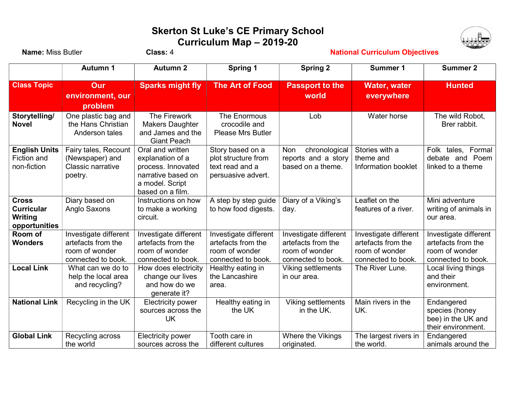## Skerton St Luke's CE Primary School Curriculum Map – 2019-20



| <b>Name: Miss Butler</b>                                      |                                                                                     | Class: 4                                                                                                                | <b>National Curriculum Objectives</b>                                               |                                                                                     |                                                                                     |                                                                                     |  |
|---------------------------------------------------------------|-------------------------------------------------------------------------------------|-------------------------------------------------------------------------------------------------------------------------|-------------------------------------------------------------------------------------|-------------------------------------------------------------------------------------|-------------------------------------------------------------------------------------|-------------------------------------------------------------------------------------|--|
|                                                               | <b>Autumn 1</b>                                                                     | <b>Autumn 2</b>                                                                                                         | <b>Spring 1</b>                                                                     | <b>Spring 2</b>                                                                     | <b>Summer 1</b>                                                                     | <b>Summer 2</b>                                                                     |  |
| <b>Class Topic</b>                                            | Our<br>environment, our                                                             | <b>Sparks might fly</b>                                                                                                 | <b>The Art of Food</b>                                                              | <b>Passport to the</b><br>world                                                     | <b>Water, water</b><br>everywhere                                                   | <b>Hunted</b>                                                                       |  |
| Storytelling/                                                 | problem<br>One plastic bag and                                                      | The Firework                                                                                                            | The Enormous                                                                        | Lob                                                                                 | Water horse                                                                         | The wild Robot,                                                                     |  |
| <b>Novel</b>                                                  | the Hans Christian<br>Anderson tales                                                | <b>Makers Daughter</b><br>and James and the<br><b>Giant Peach</b>                                                       | crocodile and<br><b>Please Mrs Butler</b>                                           |                                                                                     |                                                                                     | Brer rabbit.                                                                        |  |
| <b>English Units</b><br><b>Fiction and</b><br>non-fiction     | Fairy tales, Recount<br>(Newspaper) and<br><b>Classic narrative</b><br>poetry.      | Oral and written<br>explanation of a<br>process. Innovated<br>narrative based on<br>a model. Script<br>based on a film. | Story based on a<br>plot structure from<br>text read and a<br>persuasive advert.    | chronological<br>Non<br>reports and a story<br>based on a theme.                    | Stories with a<br>theme and<br>Information booklet                                  | Folk tales,<br>Formal<br>debate and Poem<br>linked to a theme                       |  |
| <b>Cross</b><br><b>Curricular</b><br>Writing<br>opportunities | Diary based on<br>Anglo Saxons                                                      | Instructions on how<br>to make a working<br>circuit.                                                                    | A step by step guide<br>to how food digests.                                        | Diary of a Viking's<br>day.                                                         | Leaflet on the<br>features of a river.                                              | Mini adventure<br>writing of animals in<br>our area.                                |  |
| Room of<br><b>Wonders</b>                                     | Investigate different<br>artefacts from the<br>room of wonder<br>connected to book. | Investigate different<br>artefacts from the<br>room of wonder<br>connected to book.                                     | Investigate different<br>artefacts from the<br>room of wonder<br>connected to book. | Investigate different<br>artefacts from the<br>room of wonder<br>connected to book. | Investigate different<br>artefacts from the<br>room of wonder<br>connected to book. | Investigate different<br>artefacts from the<br>room of wonder<br>connected to book. |  |
| <b>Local Link</b>                                             | What can we do to<br>help the local area<br>and recycling?                          | How does electricity<br>change our lives<br>and how do we<br>generate it?                                               | Healthy eating in<br>the Lancashire<br>area.                                        | Viking settlements<br>in our area.                                                  | The River Lune.                                                                     | Local living things<br>and their<br>environment.                                    |  |
| <b>National Link</b>                                          | Recycling in the UK                                                                 | <b>Electricity power</b><br>sources across the<br>UK                                                                    | Healthy eating in<br>the UK                                                         | <b>Viking settlements</b><br>in the UK.                                             | Main rivers in the<br>UK.                                                           | Endangered<br>species (honey<br>bee) in the UK and<br>their environment.            |  |
| <b>Global Link</b>                                            | Recycling across<br>the world                                                       | <b>Electricity power</b><br>sources across the                                                                          | Tooth care in<br>different cultures                                                 | Where the Vikings<br>originated.                                                    | The largest rivers in<br>the world.                                                 | Endangered<br>animals around the                                                    |  |